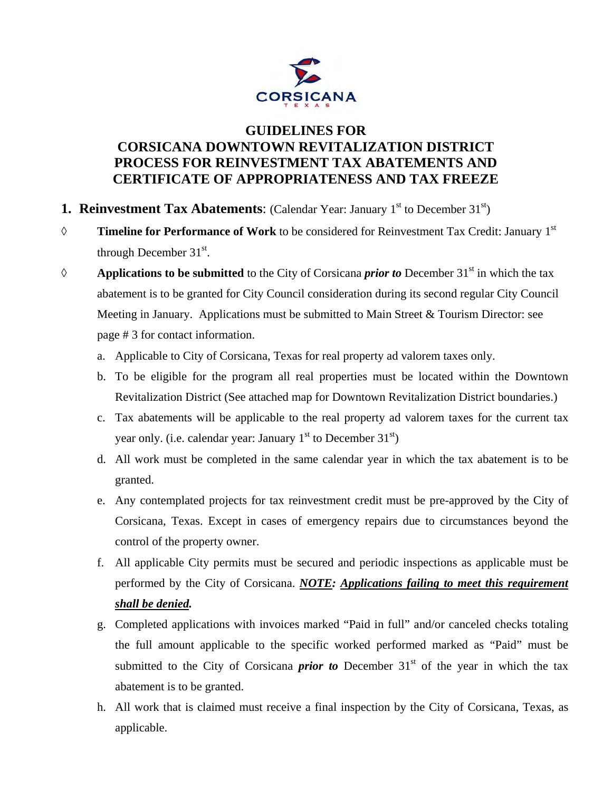

## **GUIDELINES FOR CORSICANA DOWNTOWN REVITALIZATION DISTRICT PROCESS FOR REINVESTMENT TAX ABATEMENTS AND CERTIFICATE OF APPROPRIATENESS AND TAX FREEZE**

- **1. Reinvestment Tax Abatements:** (Calendar Year: January 1<sup>st</sup> to December 31<sup>st</sup>)
- ◊ **Timeline for Performance of Work** to be considered for Reinvestment Tax Credit: January 1st through December  $31<sup>st</sup>$ .
- ◊ **Applications to be submitted** to the City of Corsicana *prior to* December 31st in which the tax abatement is to be granted for City Council consideration during its second regular City Council Meeting in January. Applications must be submitted to Main Street & Tourism Director: see page # 3 for contact information.
	- a. Applicable to City of Corsicana, Texas for real property ad valorem taxes only.
	- b. To be eligible for the program all real properties must be located within the Downtown Revitalization District (See attached map for Downtown Revitalization District boundaries.)
	- c. Tax abatements will be applicable to the real property ad valorem taxes for the current tax year only. (i.e. calendar year: January  $1<sup>st</sup>$  to December  $31<sup>st</sup>$ )
	- d. All work must be completed in the same calendar year in which the tax abatement is to be granted.
	- e. Any contemplated projects for tax reinvestment credit must be pre-approved by the City of Corsicana, Texas. Except in cases of emergency repairs due to circumstances beyond the control of the property owner.
	- f. All applicable City permits must be secured and periodic inspections as applicable must be performed by the City of Corsicana. *NOTE: Applications failing to meet this requirement shall be denied.*
	- g. Completed applications with invoices marked "Paid in full" and/or canceled checks totaling the full amount applicable to the specific worked performed marked as "Paid" must be submitted to the City of Corsicana *prior* to December  $31<sup>st</sup>$  of the year in which the tax abatement is to be granted.
	- h. All work that is claimed must receive a final inspection by the City of Corsicana, Texas, as applicable.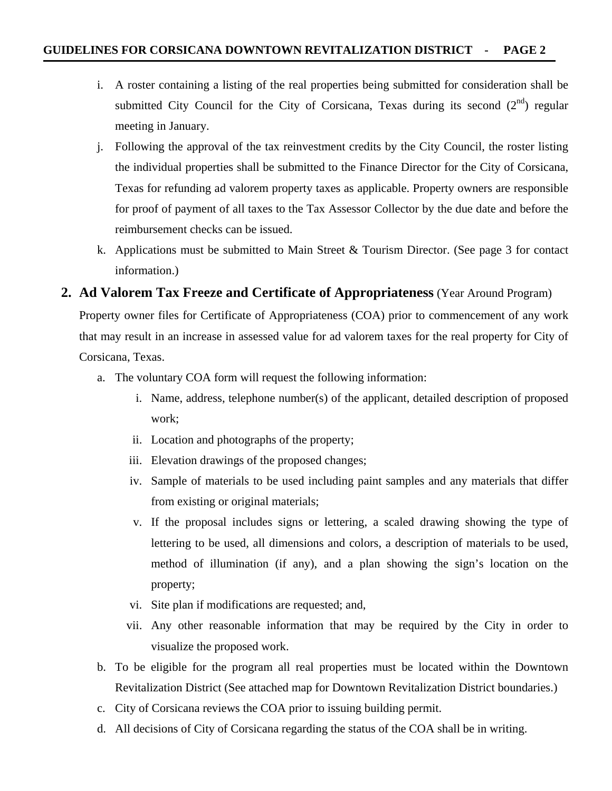- i. A roster containing a listing of the real properties being submitted for consideration shall be submitted City Council for the City of Corsicana, Texas during its second  $(2<sup>nd</sup>)$  regular meeting in January.
- j. Following the approval of the tax reinvestment credits by the City Council, the roster listing the individual properties shall be submitted to the Finance Director for the City of Corsicana, Texas for refunding ad valorem property taxes as applicable. Property owners are responsible for proof of payment of all taxes to the Tax Assessor Collector by the due date and before the reimbursement checks can be issued.
- k. Applications must be submitted to Main Street & Tourism Director. (See page 3 for contact information.)

## **2. Ad Valorem Tax Freeze and Certificate of Appropriateness** (Year Around Program)

Property owner files for Certificate of Appropriateness (COA) prior to commencement of any work that may result in an increase in assessed value for ad valorem taxes for the real property for City of Corsicana, Texas.

- a. The voluntary COA form will request the following information:
	- i. Name, address, telephone number(s) of the applicant, detailed description of proposed work;
	- ii. Location and photographs of the property;
	- iii. Elevation drawings of the proposed changes;
	- iv. Sample of materials to be used including paint samples and any materials that differ from existing or original materials;
	- v. If the proposal includes signs or lettering, a scaled drawing showing the type of lettering to be used, all dimensions and colors, a description of materials to be used, method of illumination (if any), and a plan showing the sign's location on the property;
	- vi. Site plan if modifications are requested; and,
	- vii. Any other reasonable information that may be required by the City in order to visualize the proposed work.
- b. To be eligible for the program all real properties must be located within the Downtown Revitalization District (See attached map for Downtown Revitalization District boundaries.)
- c. City of Corsicana reviews the COA prior to issuing building permit.
- d. All decisions of City of Corsicana regarding the status of the COA shall be in writing.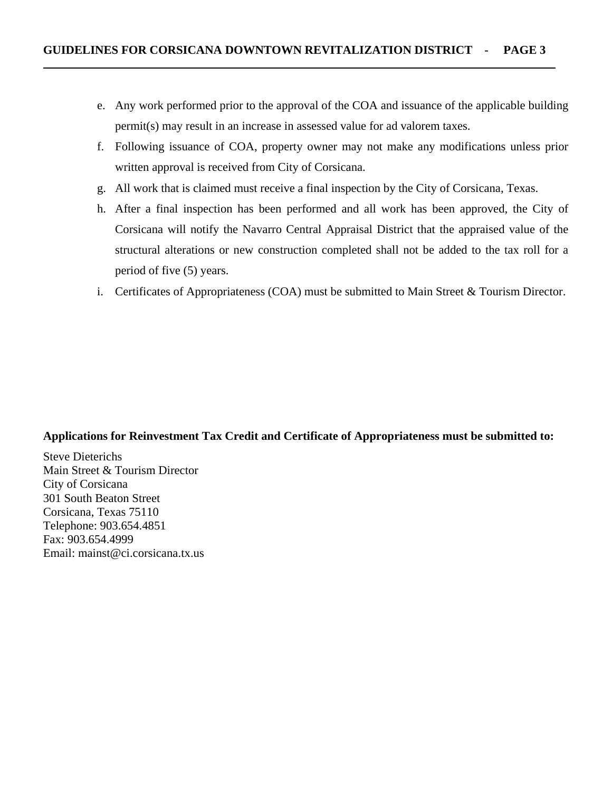- e. Any work performed prior to the approval of the COA and issuance of the applicable building permit(s) may result in an increase in assessed value for ad valorem taxes.
- f. Following issuance of COA, property owner may not make any modifications unless prior written approval is received from City of Corsicana.
- g. All work that is claimed must receive a final inspection by the City of Corsicana, Texas.
- h. After a final inspection has been performed and all work has been approved, the City of Corsicana will notify the Navarro Central Appraisal District that the appraised value of the structural alterations or new construction completed shall not be added to the tax roll for a period of five (5) years.
- i. Certificates of Appropriateness (COA) must be submitted to Main Street & Tourism Director.

## **Applications for Reinvestment Tax Credit and Certificate of Appropriateness must be submitted to:**

Steve Dieterichs Main Street & Tourism Director City of Corsicana 301 South Beaton Street Corsicana, Texas 75110 Telephone: 903.654.4851 Fax: 903.654.4999 Email: mainst@ci.corsicana.tx.us

֡֡֡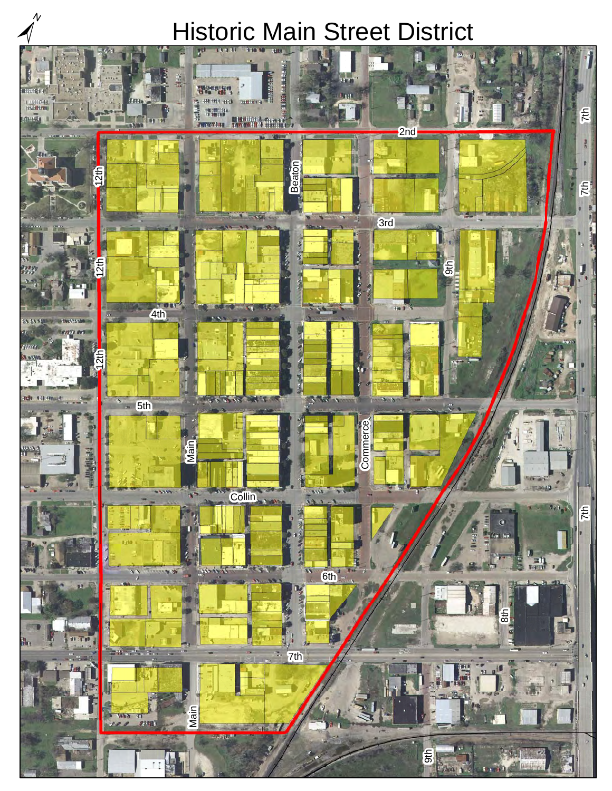# Historic Main Street District

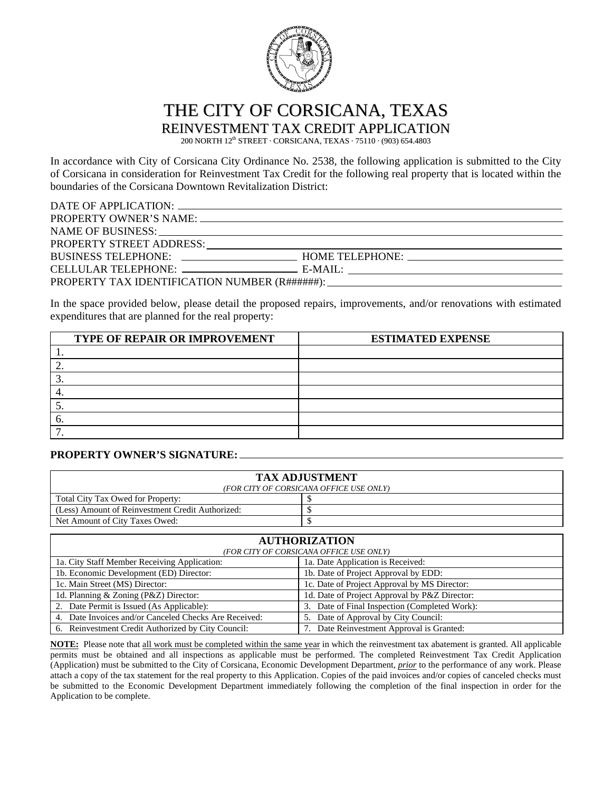

THE CITY OF CORSICANA, TEXAS

REINVESTMENT TAX CREDIT APPLICATION

200 NORTH 12<sup>th</sup> STREET · CORSICANA, TEXAS · 75110 · (903) 654.4803

In accordance with City of Corsicana City Ordinance No. 2538, the following application is submitted to the City of Corsicana in consideration for Reinvestment Tax Credit for the following real property that is located within the boundaries of the Corsicana Downtown Revitalization District:

| NAME OF BUSINESS: Laterature and the set of the set of the set of the set of the set of the set of the set of the set of the set of the set of the set of the set of the set of the set of the set of the set of the set of th |  |
|--------------------------------------------------------------------------------------------------------------------------------------------------------------------------------------------------------------------------------|--|
|                                                                                                                                                                                                                                |  |
|                                                                                                                                                                                                                                |  |
|                                                                                                                                                                                                                                |  |
|                                                                                                                                                                                                                                |  |

In the space provided below, please detail the proposed repairs, improvements, and/or renovations with estimated expenditures that are planned for the real property:

| <b>TYPE OF REPAIR OR IMPROVEMENT</b> | <b>ESTIMATED EXPENSE</b> |
|--------------------------------------|--------------------------|
|                                      |                          |
|                                      |                          |
|                                      |                          |
|                                      |                          |
|                                      |                          |
|                                      |                          |
|                                      |                          |

#### **PROPERTY OWNER'S SIGNATURE:**

| <b>TAX ADJUSTMENT</b><br>(FOR CITY OF CORSICANA OFFICE USE ONLY) |  |  |  |
|------------------------------------------------------------------|--|--|--|
| Total City Tax Owed for Property:                                |  |  |  |
| (Less) Amount of Reinvestment Credit Authorized:                 |  |  |  |
| Net Amount of City Taxes Owed:                                   |  |  |  |
|                                                                  |  |  |  |

| <b>AUTHORIZATION</b>                                  |                                               |  |
|-------------------------------------------------------|-----------------------------------------------|--|
| (FOR CITY OF CORSICANA OFFICE USE ONLY)               |                                               |  |
| 1a. City Staff Member Receiving Application:          | 1a. Date Application is Received:             |  |
| 1b. Economic Development (ED) Director:               | 1b. Date of Project Approval by EDD:          |  |
| 1c. Main Street (MS) Director:                        | 1c. Date of Project Approval by MS Director:  |  |
| 1d. Planning & Zoning (P&Z) Director:                 | 1d. Date of Project Approval by P&Z Director: |  |
| 2. Date Permit is Issued (As Applicable):             | 3. Date of Final Inspection (Completed Work): |  |
| 4. Date Invoices and/or Canceled Checks Are Received: | 5. Date of Approval by City Council:          |  |
| 6. Reinvestment Credit Authorized by City Council:    | 7. Date Reinvestment Approval is Granted:     |  |

**NOTE:** Please note that all work must be completed within the same year in which the reinvestment tax abatement is granted. All applicable permits must be obtained and all inspections as applicable must be performed. The completed Reinvestment Tax Credit Application (Application) must be submitted to the City of Corsicana, Economic Development Department, *prior* to the performance of any work. Please attach a copy of the tax statement for the real property to this Application. Copies of the paid invoices and/or copies of canceled checks must be submitted to the Economic Development Department immediately following the completion of the final inspection in order for the Application to be complete.